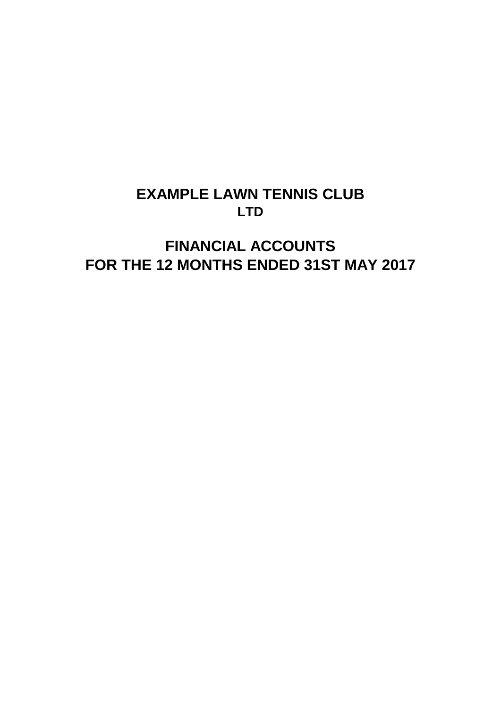## **EXAMPLE LAWN TENNIS CLUB LTD**

# **FINANCIAL ACCOUNTS FOR THE 12 MONTHS ENDED 31ST MAY 2017**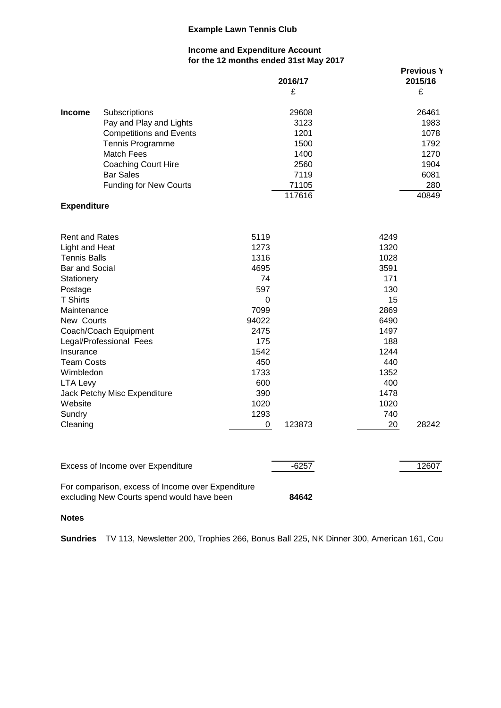#### **Income and Expenditure Account for the 12 months ended 31st May 2017**

|                                                                                                                                                                                                                                                                                                                                                  | <b>IL MORNO CHUCU OTOL MUY LOT</b>                                                                                                       | 2016/17<br>£                                                             |                                                                                                                                            | <b>Previous Y</b><br>2015/16<br>£                                     |
|--------------------------------------------------------------------------------------------------------------------------------------------------------------------------------------------------------------------------------------------------------------------------------------------------------------------------------------------------|------------------------------------------------------------------------------------------------------------------------------------------|--------------------------------------------------------------------------|--------------------------------------------------------------------------------------------------------------------------------------------|-----------------------------------------------------------------------|
| <b>Income</b><br>Subscriptions<br>Pay and Play and Lights<br><b>Competitions and Events</b><br>Tennis Programme<br><b>Match Fees</b><br><b>Coaching Court Hire</b><br><b>Bar Sales</b><br><b>Funding for New Courts</b>                                                                                                                          |                                                                                                                                          | 29608<br>3123<br>1201<br>1500<br>1400<br>2560<br>7119<br>71105<br>117616 |                                                                                                                                            | 26461<br>1983<br>1078<br>1792<br>1270<br>1904<br>6081<br>280<br>40849 |
| <b>Expenditure</b>                                                                                                                                                                                                                                                                                                                               |                                                                                                                                          |                                                                          |                                                                                                                                            |                                                                       |
| <b>Rent and Rates</b><br>Light and Heat<br><b>Tennis Balls</b><br><b>Bar and Social</b><br>Stationery<br>Postage<br><b>T Shirts</b><br>Maintenance<br>New Courts<br>Coach/Coach Equipment<br>Legal/Professional Fees<br>Insurance<br><b>Team Costs</b><br>Wimbledon<br>LTA Levy<br>Jack Petchy Misc Expenditure<br>Website<br>Sundry<br>Cleaning | 5119<br>1273<br>1316<br>4695<br>74<br>597<br>0<br>7099<br>94022<br>2475<br>175<br>1542<br>450<br>1733<br>600<br>390<br>1020<br>1293<br>0 | 123873                                                                   | 4249<br>1320<br>1028<br>3591<br>171<br>130<br>15<br>2869<br>6490<br>1497<br>188<br>1244<br>440<br>1352<br>400<br>1478<br>1020<br>740<br>20 | 28242                                                                 |
| Excess of Income over Expenditure                                                                                                                                                                                                                                                                                                                |                                                                                                                                          | $-6257$                                                                  |                                                                                                                                            | 12607                                                                 |
| For comparison, excess of Income over Expenditure<br>excluding New Courts spend would have been                                                                                                                                                                                                                                                  |                                                                                                                                          | 84642                                                                    |                                                                                                                                            |                                                                       |

#### **Notes**

**Sundries** TV 113, Newsletter 200, Trophies 266, Bonus Ball 225, NK Dinner 300, American 161, Cou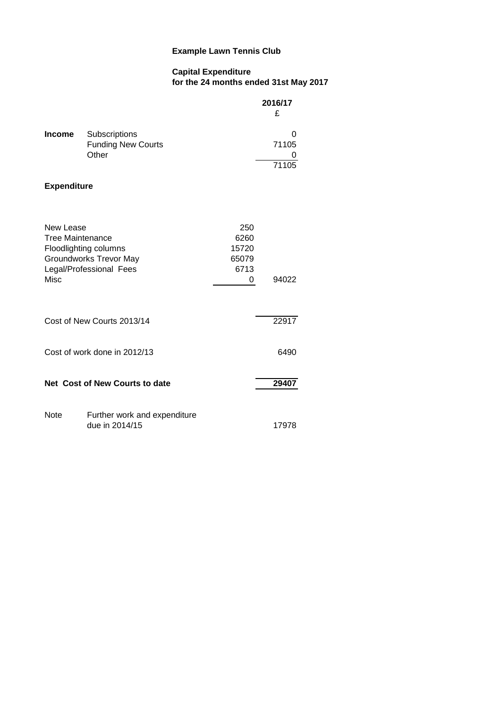## **Capital Expenditure for the 24 months ended 31st May 2017**

|                                                     |                                                                            |                                            | 2016/17<br>£       |
|-----------------------------------------------------|----------------------------------------------------------------------------|--------------------------------------------|--------------------|
| <b>Income</b>                                       | Subscriptions<br><b>Funding New Courts</b><br>Other                        |                                            | O<br>71105<br>7110 |
| <b>Expenditure</b>                                  |                                                                            |                                            |                    |
| New Lease<br><b>Tree Maintenance</b><br><b>Misc</b> | Floodlighting columns<br>Groundworks Trevor May<br>Legal/Professional Fees | 250<br>6260<br>15720<br>65079<br>6713<br>0 | 94022              |
|                                                     | Cost of New Courts 2013/14                                                 |                                            | 22917              |
|                                                     | Cost of work done in 2012/13                                               |                                            | 6490               |
|                                                     | Net Cost of New Courts to date                                             |                                            | 29407              |
| Note                                                | Further work and expenditure<br>due in 2014/15                             |                                            | 17978              |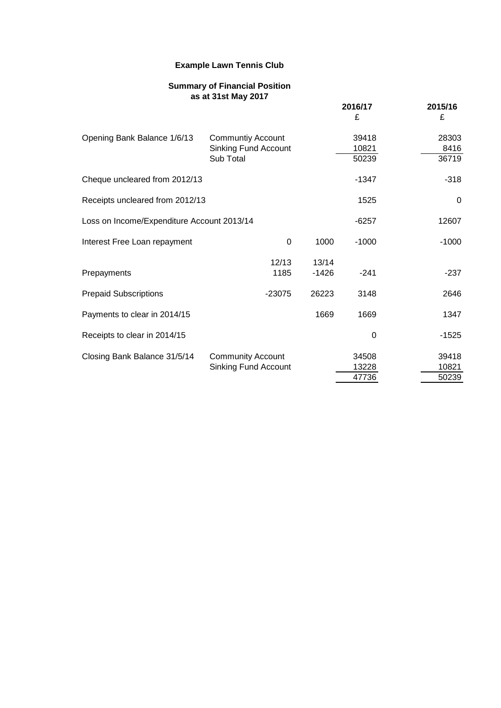#### **Summary of Financial Position as at 31st May 2017**

|                                            |                                                                      |                  | 2016/17<br>£            | 2015/16<br>£            |
|--------------------------------------------|----------------------------------------------------------------------|------------------|-------------------------|-------------------------|
| Opening Bank Balance 1/6/13                | <b>Communtiy Account</b><br><b>Sinking Fund Account</b><br>Sub Total |                  | 39418<br>10821<br>50239 | 28303<br>8416<br>36719  |
| Cheque uncleared from 2012/13              |                                                                      |                  | -1347                   | $-318$                  |
| Receipts uncleared from 2012/13            |                                                                      |                  | 1525                    | 0                       |
| Loss on Income/Expenditure Account 2013/14 |                                                                      |                  | $-6257$                 | 12607                   |
| Interest Free Loan repayment               | 0                                                                    | 1000             | $-1000$                 | $-1000$                 |
| Prepayments                                | 12/13<br>1185                                                        | 13/14<br>$-1426$ | $-241$                  | $-237$                  |
| <b>Prepaid Subscriptions</b>               | $-23075$                                                             | 26223            | 3148                    | 2646                    |
| Payments to clear in 2014/15               |                                                                      | 1669             | 1669                    | 1347                    |
| Receipts to clear in 2014/15               |                                                                      |                  | 0                       | $-1525$                 |
| Closing Bank Balance 31/5/14               | <b>Community Account</b><br>Sinking Fund Account                     |                  | 34508<br>13228<br>47736 | 39418<br>10821<br>50239 |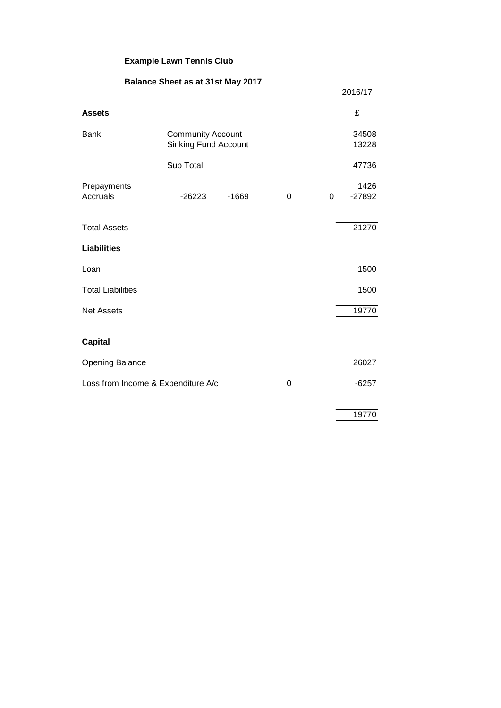|                                    | Balance Sheet as at 31st May 2017                       |         |   |   |                  |
|------------------------------------|---------------------------------------------------------|---------|---|---|------------------|
|                                    |                                                         |         |   |   | 2016/17          |
| <b>Assets</b>                      |                                                         |         |   |   | £                |
| <b>Bank</b>                        | <b>Community Account</b><br><b>Sinking Fund Account</b> |         |   |   | 34508<br>13228   |
|                                    | Sub Total                                               |         |   |   | 47736            |
| Prepayments<br>Accruals            | $-26223$                                                | $-1669$ | 0 | 0 | 1426<br>$-27892$ |
| <b>Total Assets</b>                |                                                         |         |   |   | 21270            |
| <b>Liabilities</b>                 |                                                         |         |   |   |                  |
| Loan                               |                                                         |         |   |   | 1500             |
| <b>Total Liabilities</b>           |                                                         |         |   |   | 1500             |
| <b>Net Assets</b>                  |                                                         |         |   |   | 19770            |
| <b>Capital</b>                     |                                                         |         |   |   |                  |
| <b>Opening Balance</b>             |                                                         |         |   |   | 26027            |
| Loss from Income & Expenditure A/c |                                                         |         | 0 |   | $-6257$          |
|                                    |                                                         |         |   |   | 19770            |